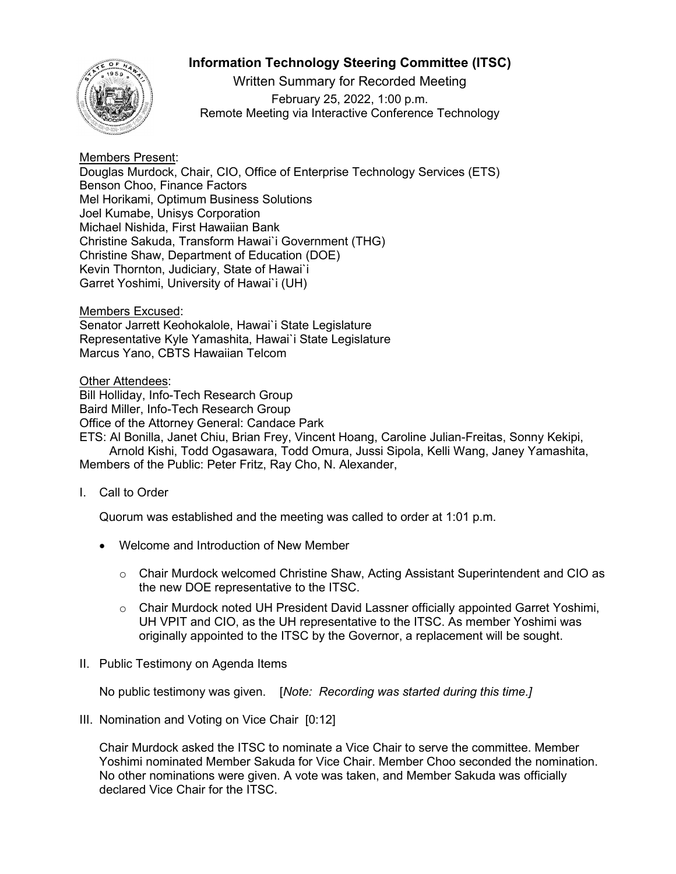## **Information Technology Steering Committee (ITSC)**



Written Summary for Recorded Meeting February 25, 2022, 1:00 p.m. Remote Meeting via Interactive Conference Technology

## Members Present:

Douglas Murdock, Chair, CIO, Office of Enterprise Technology Services (ETS) Benson Choo, Finance Factors Mel Horikami, Optimum Business Solutions Joel Kumabe, Unisys Corporation Michael Nishida, First Hawaiian Bank Christine Sakuda, Transform Hawai`i Government (THG) Christine Shaw, Department of Education (DOE) Kevin Thornton, Judiciary, State of Hawai`i Garret Yoshimi, University of Hawai`i (UH)

Members Excused:

Senator Jarrett Keohokalole, Hawai`i State Legislature Representative Kyle Yamashita, Hawai`i State Legislature Marcus Yano, CBTS Hawaiian Telcom

Other Attendees:

Bill Holliday, Info-Tech Research Group Baird Miller, Info-Tech Research Group Office of the Attorney General: Candace Park

ETS: Al Bonilla, Janet Chiu, Brian Frey, Vincent Hoang, Caroline Julian-Freitas, Sonny Kekipi, Arnold Kishi, Todd Ogasawara, Todd Omura, Jussi Sipola, Kelli Wang, Janey Yamashita, Members of the Public: Peter Fritz, Ray Cho, N. Alexander,

I. Call to Order

Quorum was established and the meeting was called to order at 1:01 p.m.

- Welcome and Introduction of New Member
	- $\circ$  Chair Murdock welcomed Christine Shaw, Acting Assistant Superintendent and CIO as the new DOE representative to the ITSC.
	- $\circ$  Chair Murdock noted UH President David Lassner officially appointed Garret Yoshimi, UH VPIT and CIO, as the UH representative to the ITSC. As member Yoshimi was originally appointed to the ITSC by the Governor, a replacement will be sought.
- II. Public Testimony on Agenda Items

No public testimony was given. [*Note: Recording was started during this time.]*

III. Nomination and Voting on Vice Chair [0:12]

Chair Murdock asked the ITSC to nominate a Vice Chair to serve the committee. Member Yoshimi nominated Member Sakuda for Vice Chair. Member Choo seconded the nomination. No other nominations were given. A vote was taken, and Member Sakuda was officially declared Vice Chair for the ITSC.